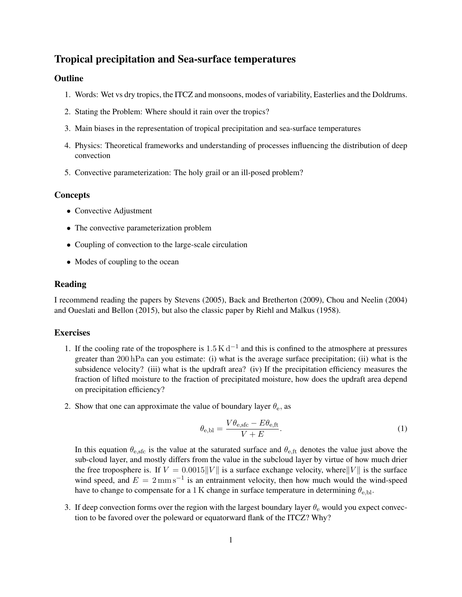# Tropical precipitation and Sea-surface temperatures

## **Outline**

- 1. Words: Wet vs dry tropics, the ITCZ and monsoons, modes of variability, Easterlies and the Doldrums.
- 2. Stating the Problem: Where should it rain over the tropics?
- 3. Main biases in the representation of tropical precipitation and sea-surface temperatures
- 4. Physics: Theoretical frameworks and understanding of processes influencing the distribution of deep convection
- 5. Convective parameterization: The holy grail or an ill-posed problem?

## **Concepts**

- Convective Adjustment
- The convective parameterization problem
- Coupling of convection to the large-scale circulation
- Modes of coupling to the ocean

#### Reading

I recommend reading the papers by [Stevens](#page-1-0) [\(2005\)](#page-1-0), [Back and Bretherton](#page-1-1) [\(2009\)](#page-1-1), [Chou and Neelin](#page-1-2) [\(2004\)](#page-1-2) and [Oueslati and Bellon](#page-1-3) [\(2015\)](#page-1-3), but also the classic paper by [Riehl and Malkus](#page-1-4) [\(1958\)](#page-1-4).

#### **Exercises**

- 1. If the cooling rate of the troposphere is  $1.5 \text{ K d}^{-1}$  and this is confined to the atmosphere at pressures greater than 200 hPa can you estimate: (i) what is the average surface precipitation; (ii) what is the subsidence velocity? (iii) what is the updraft area? (iv) If the precipitation efficiency measures the fraction of lifted moisture to the fraction of precipitated moisture, how does the updraft area depend on precipitation efficiency?
- 2. Show that one can approximate the value of boundary layer  $\theta_e$ , as

$$
\theta_{\rm e,bl} = \frac{V\theta_{\rm e,sfc} - E\theta_{\rm e,ft}}{V + E}.
$$
\n(1)

In this equation  $\theta_{\rm e, sfc}$  is the value at the saturated surface and  $\theta_{\rm e, ft}$  denotes the value just above the sub-cloud layer, and mostly differs from the value in the subcloud layer by virtue of how much drier the free troposphere is. If  $V = 0.0015||V||$  is a surface exchange velocity, where  $||V||$  is the surface wind speed, and  $E = 2$  mm s<sup>-1</sup> is an entrainment velocity, then how much would the wind-speed have to change to compensate for a 1 K change in surface temperature in determining  $\theta_{e,b}$ .

3. If deep convection forms over the region with the largest boundary layer  $\theta_e$  would you expect convection to be favored over the poleward or equatorward flank of the ITCZ? Why?